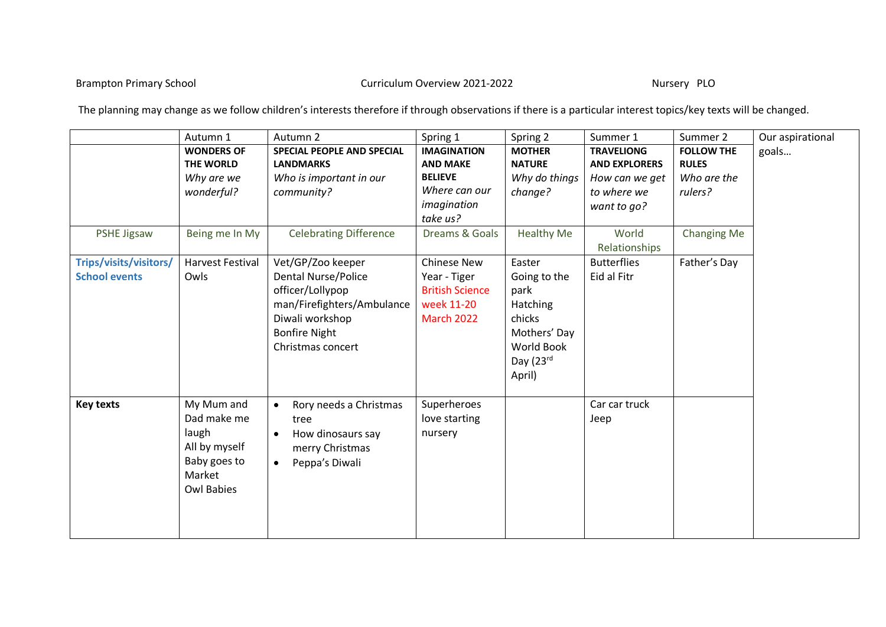Brampton Primary School **Exampton Primary School** Curriculum Overview 2021-2022

The planning may change as we follow children's interests therefore if through observations if there is a particular interest topics/key texts will be changed.

|                        | Autumn 1                | Autumn 2                            | Spring 1               | Spring 2          | Summer 1               | Summer 2           | Our aspirational |
|------------------------|-------------------------|-------------------------------------|------------------------|-------------------|------------------------|--------------------|------------------|
|                        | <b>WONDERS OF</b>       | SPECIAL PEOPLE AND SPECIAL          | <b>IMAGINATION</b>     | <b>MOTHER</b>     | <b>TRAVELIONG</b>      | <b>FOLLOW THE</b>  | goals            |
|                        | THE WORLD               | <b>LANDMARKS</b>                    | <b>AND MAKE</b>        | <b>NATURE</b>     | <b>AND EXPLORERS</b>   | <b>RULES</b>       |                  |
|                        | Why are we              | Who is important in our             | <b>BELIEVE</b>         | Why do things     | How can we get         | Who are the        |                  |
|                        | wonderful?              | community?                          | Where can our          | change?           | to where we            | rulers?            |                  |
|                        |                         |                                     | imagination            |                   | want to go?            |                    |                  |
|                        |                         |                                     | take us?               |                   |                        |                    |                  |
| <b>PSHE Jigsaw</b>     | Being me In My          | <b>Celebrating Difference</b>       | Dreams & Goals         | <b>Healthy Me</b> | World<br>Relationships | <b>Changing Me</b> |                  |
| Trips/visits/visitors/ | <b>Harvest Festival</b> | Vet/GP/Zoo keeper                   | <b>Chinese New</b>     | Easter            | <b>Butterflies</b>     | Father's Day       |                  |
| <b>School events</b>   | Owls                    | <b>Dental Nurse/Police</b>          | Year - Tiger           | Going to the      | Eid al Fitr            |                    |                  |
|                        |                         | officer/Lollypop                    | <b>British Science</b> | park              |                        |                    |                  |
|                        |                         | man/Firefighters/Ambulance          | week 11-20             | Hatching          |                        |                    |                  |
|                        |                         | Diwali workshop                     | <b>March 2022</b>      | chicks            |                        |                    |                  |
|                        |                         | <b>Bonfire Night</b>                |                        | Mothers' Day      |                        |                    |                  |
|                        |                         | Christmas concert                   |                        | World Book        |                        |                    |                  |
|                        |                         |                                     |                        | Day (23rd         |                        |                    |                  |
|                        |                         |                                     |                        | April)            |                        |                    |                  |
| <b>Key texts</b>       | My Mum and              | Rory needs a Christmas<br>$\bullet$ | Superheroes            |                   | Car car truck          |                    |                  |
|                        | Dad make me             | tree                                | love starting          |                   | Jeep                   |                    |                  |
|                        | laugh                   | How dinosaurs say<br>$\bullet$      | nursery                |                   |                        |                    |                  |
|                        | All by myself           | merry Christmas                     |                        |                   |                        |                    |                  |
|                        | Baby goes to            | Peppa's Diwali<br>$\bullet$         |                        |                   |                        |                    |                  |
|                        | Market                  |                                     |                        |                   |                        |                    |                  |
|                        | <b>Owl Babies</b>       |                                     |                        |                   |                        |                    |                  |
|                        |                         |                                     |                        |                   |                        |                    |                  |
|                        |                         |                                     |                        |                   |                        |                    |                  |
|                        |                         |                                     |                        |                   |                        |                    |                  |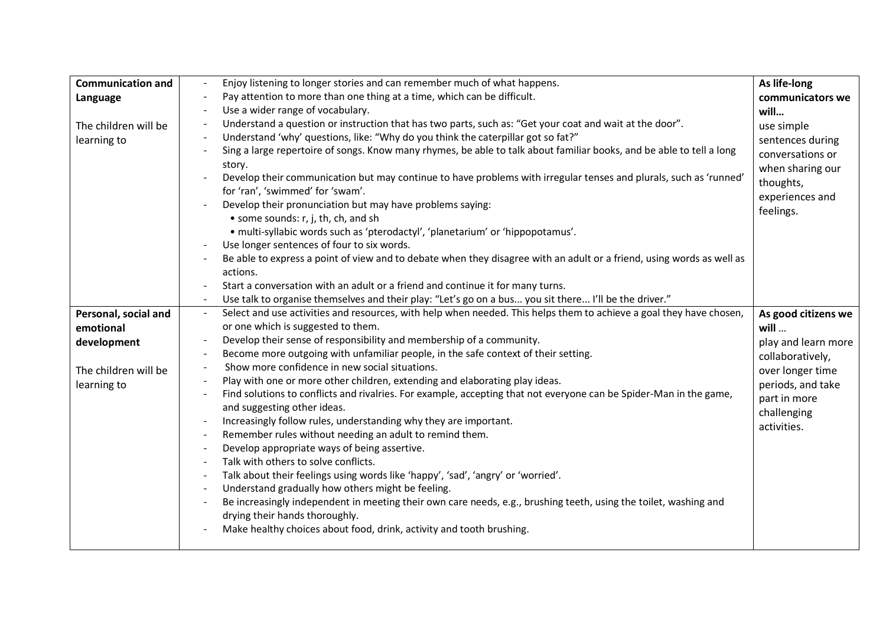| <b>Communication and</b> |                      | Enjoy listening to longer stories and can remember much of what happens.                                                             | As life-long        |
|--------------------------|----------------------|--------------------------------------------------------------------------------------------------------------------------------------|---------------------|
| Language                 |                      | Pay attention to more than one thing at a time, which can be difficult.                                                              | communicators we    |
|                          |                      | Use a wider range of vocabulary.                                                                                                     | will                |
| The children will be     |                      | Understand a question or instruction that has two parts, such as: "Get your coat and wait at the door".                              | use simple          |
| learning to              |                      | Understand 'why' questions, like: "Why do you think the caterpillar got so fat?"                                                     | sentences during    |
|                          |                      | Sing a large repertoire of songs. Know many rhymes, be able to talk about familiar books, and be able to tell a long                 | conversations or    |
|                          |                      | story.                                                                                                                               | when sharing our    |
|                          |                      | Develop their communication but may continue to have problems with irregular tenses and plurals, such as 'runned'                    | thoughts,           |
|                          |                      | for 'ran', 'swimmed' for 'swam'.                                                                                                     | experiences and     |
|                          |                      | Develop their pronunciation but may have problems saying:                                                                            | feelings.           |
|                          |                      | • some sounds: r, j, th, ch, and sh                                                                                                  |                     |
|                          |                      | · multi-syllabic words such as 'pterodactyl', 'planetarium' or 'hippopotamus'.                                                       |                     |
|                          |                      | Use longer sentences of four to six words.                                                                                           |                     |
|                          |                      | Be able to express a point of view and to debate when they disagree with an adult or a friend, using words as well as                |                     |
|                          |                      | actions.                                                                                                                             |                     |
|                          |                      | Start a conversation with an adult or a friend and continue it for many turns.                                                       |                     |
|                          |                      | Use talk to organise themselves and their play: "Let's go on a bus you sit there I'll be the driver."                                |                     |
| Personal, social and     | $\frac{1}{\sqrt{2}}$ | Select and use activities and resources, with help when needed. This helps them to achieve a goal they have chosen,                  | As good citizens we |
| emotional                |                      | or one which is suggested to them.                                                                                                   | will                |
| development              |                      | Develop their sense of responsibility and membership of a community.                                                                 | play and learn more |
|                          |                      | Become more outgoing with unfamiliar people, in the safe context of their setting.<br>Show more confidence in new social situations. | collaboratively,    |
| The children will be     |                      | Play with one or more other children, extending and elaborating play ideas.                                                          | over longer time    |
| learning to              |                      | Find solutions to conflicts and rivalries. For example, accepting that not everyone can be Spider-Man in the game,                   | periods, and take   |
|                          |                      | and suggesting other ideas.                                                                                                          | part in more        |
|                          |                      | Increasingly follow rules, understanding why they are important.                                                                     | challenging         |
|                          |                      | Remember rules without needing an adult to remind them.                                                                              | activities.         |
|                          |                      | Develop appropriate ways of being assertive.                                                                                         |                     |
|                          |                      | Talk with others to solve conflicts.                                                                                                 |                     |
|                          |                      | Talk about their feelings using words like 'happy', 'sad', 'angry' or 'worried'.                                                     |                     |
|                          |                      | Understand gradually how others might be feeling.                                                                                    |                     |
|                          |                      | Be increasingly independent in meeting their own care needs, e.g., brushing teeth, using the toilet, washing and                     |                     |
|                          |                      | drying their hands thoroughly.                                                                                                       |                     |
|                          |                      | Make healthy choices about food, drink, activity and tooth brushing.                                                                 |                     |
|                          |                      |                                                                                                                                      |                     |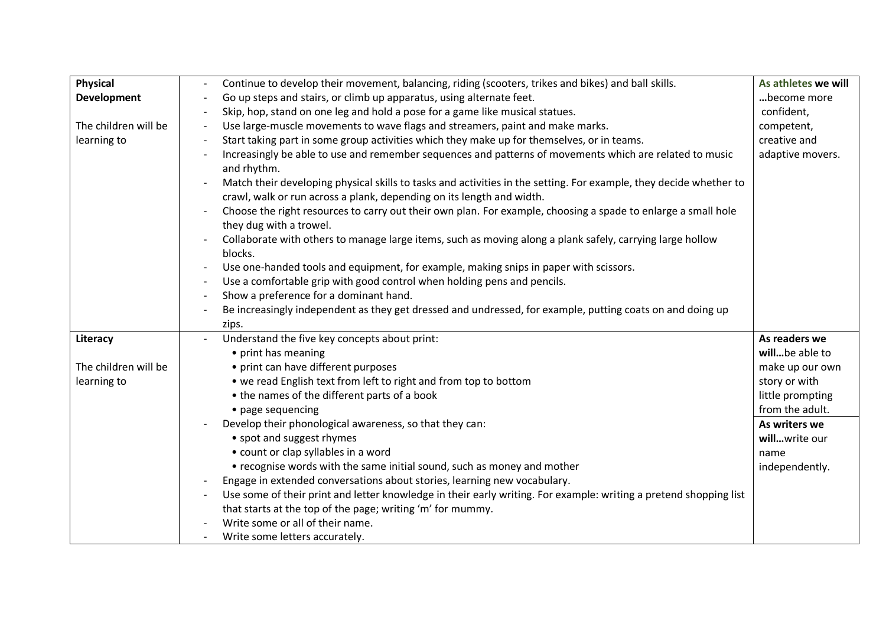| <b>Physical</b>      | Continue to develop their movement, balancing, riding (scooters, trikes and bikes) and ball skills.                                                                                         | As athletes we will |
|----------------------|---------------------------------------------------------------------------------------------------------------------------------------------------------------------------------------------|---------------------|
| <b>Development</b>   | Go up steps and stairs, or climb up apparatus, using alternate feet.                                                                                                                        | become more         |
|                      | Skip, hop, stand on one leg and hold a pose for a game like musical statues.                                                                                                                | confident,          |
| The children will be | Use large-muscle movements to wave flags and streamers, paint and make marks.                                                                                                               | competent,          |
| learning to          | Start taking part in some group activities which they make up for themselves, or in teams.                                                                                                  | creative and        |
|                      | Increasingly be able to use and remember sequences and patterns of movements which are related to music<br>and rhythm.                                                                      | adaptive movers.    |
|                      | Match their developing physical skills to tasks and activities in the setting. For example, they decide whether to<br>crawl, walk or run across a plank, depending on its length and width. |                     |
|                      | Choose the right resources to carry out their own plan. For example, choosing a spade to enlarge a small hole<br>they dug with a trowel.                                                    |                     |
|                      | Collaborate with others to manage large items, such as moving along a plank safely, carrying large hollow<br>blocks.                                                                        |                     |
|                      | Use one-handed tools and equipment, for example, making snips in paper with scissors.                                                                                                       |                     |
|                      | Use a comfortable grip with good control when holding pens and pencils.                                                                                                                     |                     |
|                      | Show a preference for a dominant hand.                                                                                                                                                      |                     |
|                      | Be increasingly independent as they get dressed and undressed, for example, putting coats on and doing up                                                                                   |                     |
|                      | zips.                                                                                                                                                                                       |                     |
| Literacy             | Understand the five key concepts about print:                                                                                                                                               | As readers we       |
|                      | • print has meaning                                                                                                                                                                         | willbe able to      |
| The children will be | • print can have different purposes                                                                                                                                                         | make up our own     |
| learning to          | • we read English text from left to right and from top to bottom                                                                                                                            | story or with       |
|                      | • the names of the different parts of a book                                                                                                                                                | little prompting    |
|                      | • page sequencing                                                                                                                                                                           | from the adult.     |
|                      | Develop their phonological awareness, so that they can:                                                                                                                                     | As writers we       |
|                      | • spot and suggest rhymes                                                                                                                                                                   | willwrite our       |
|                      | • count or clap syllables in a word                                                                                                                                                         | name                |
|                      | • recognise words with the same initial sound, such as money and mother                                                                                                                     | independently.      |
|                      | Engage in extended conversations about stories, learning new vocabulary.                                                                                                                    |                     |
|                      | Use some of their print and letter knowledge in their early writing. For example: writing a pretend shopping list                                                                           |                     |
|                      | that starts at the top of the page; writing 'm' for mummy.                                                                                                                                  |                     |
|                      | Write some or all of their name.                                                                                                                                                            |                     |
|                      | Write some letters accurately.                                                                                                                                                              |                     |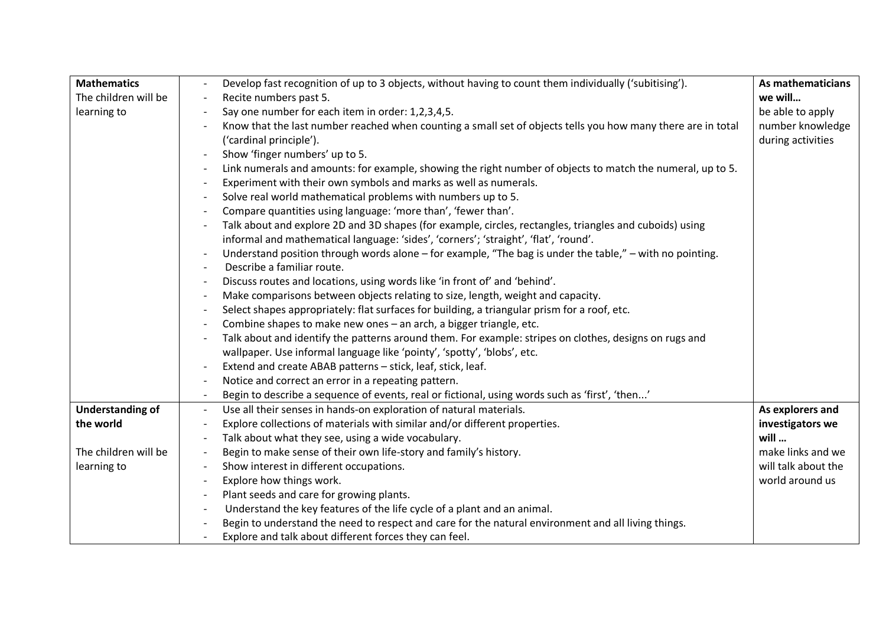| <b>Mathematics</b>      | Develop fast recognition of up to 3 objects, without having to count them individually ('subitising').       | As mathematicians   |
|-------------------------|--------------------------------------------------------------------------------------------------------------|---------------------|
| The children will be    | Recite numbers past 5.                                                                                       | we will             |
| learning to             | Say one number for each item in order: 1,2,3,4,5.                                                            | be able to apply    |
|                         | Know that the last number reached when counting a small set of objects tells you how many there are in total | number knowledge    |
|                         | ('cardinal principle').                                                                                      | during activities   |
|                         | Show 'finger numbers' up to 5.                                                                               |                     |
|                         | Link numerals and amounts: for example, showing the right number of objects to match the numeral, up to 5.   |                     |
|                         | Experiment with their own symbols and marks as well as numerals.                                             |                     |
|                         | Solve real world mathematical problems with numbers up to 5.                                                 |                     |
|                         | Compare quantities using language: 'more than', 'fewer than'.                                                |                     |
|                         | Talk about and explore 2D and 3D shapes (for example, circles, rectangles, triangles and cuboids) using      |                     |
|                         | informal and mathematical language: 'sides', 'corners'; 'straight', 'flat', 'round'.                         |                     |
|                         | Understand position through words alone $-$ for example, "The bag is under the table," $-$ with no pointing. |                     |
|                         | Describe a familiar route.                                                                                   |                     |
|                         | Discuss routes and locations, using words like 'in front of' and 'behind'.                                   |                     |
|                         | Make comparisons between objects relating to size, length, weight and capacity.                              |                     |
|                         | Select shapes appropriately: flat surfaces for building, a triangular prism for a roof, etc.                 |                     |
|                         | Combine shapes to make new ones - an arch, a bigger triangle, etc.                                           |                     |
|                         | Talk about and identify the patterns around them. For example: stripes on clothes, designs on rugs and       |                     |
|                         | wallpaper. Use informal language like 'pointy', 'spotty', 'blobs', etc.                                      |                     |
|                         | Extend and create ABAB patterns - stick, leaf, stick, leaf.                                                  |                     |
|                         | Notice and correct an error in a repeating pattern.                                                          |                     |
|                         | Begin to describe a sequence of events, real or fictional, using words such as 'first', 'then'               |                     |
| <b>Understanding of</b> | Use all their senses in hands-on exploration of natural materials.<br>$\overline{\phantom{a}}$               | As explorers and    |
| the world               | Explore collections of materials with similar and/or different properties.                                   | investigators we    |
|                         | Talk about what they see, using a wide vocabulary.                                                           | will                |
| The children will be    | Begin to make sense of their own life-story and family's history.                                            | make links and we   |
| learning to             | Show interest in different occupations.                                                                      | will talk about the |
|                         | Explore how things work.                                                                                     | world around us     |
|                         | Plant seeds and care for growing plants.                                                                     |                     |
|                         | Understand the key features of the life cycle of a plant and an animal.                                      |                     |
|                         | Begin to understand the need to respect and care for the natural environment and all living things.          |                     |
|                         | Explore and talk about different forces they can feel.                                                       |                     |